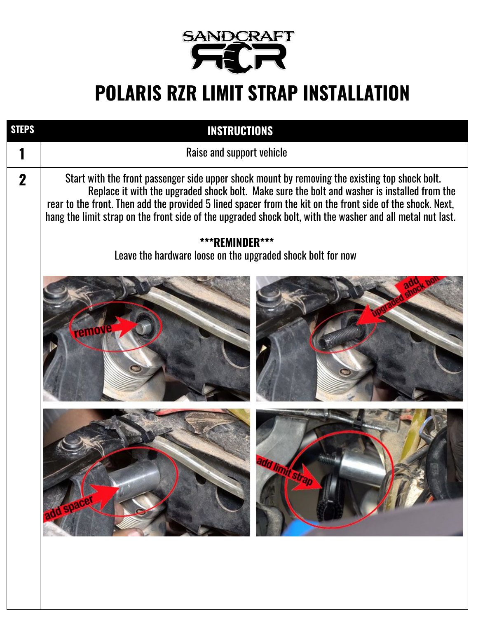

| <b>STEPS</b> | <b>INSTRUCTIONS</b>                                                                                                                                                                                                                                                                                                                                                                                                        |
|--------------|----------------------------------------------------------------------------------------------------------------------------------------------------------------------------------------------------------------------------------------------------------------------------------------------------------------------------------------------------------------------------------------------------------------------------|
|              | Raise and support vehicle                                                                                                                                                                                                                                                                                                                                                                                                  |
| $\mathbf 2$  | Start with the front passenger side upper shock mount by removing the existing top shock bolt.<br>Replace it with the upgraded shock bolt. Make sure the bolt and washer is installed from the<br>rear to the front. Then add the provided 5 lined spacer from the kit on the front side of the shock. Next,<br>hang the limit strap on the front side of the upgraded shock bolt, with the washer and all metal nut last. |
|              | ***REMINDER***<br>Leave the hardware loose on the upgraded shock bolt for now                                                                                                                                                                                                                                                                                                                                              |
|              |                                                                                                                                                                                                                                                                                                                                                                                                                            |
|              |                                                                                                                                                                                                                                                                                                                                                                                                                            |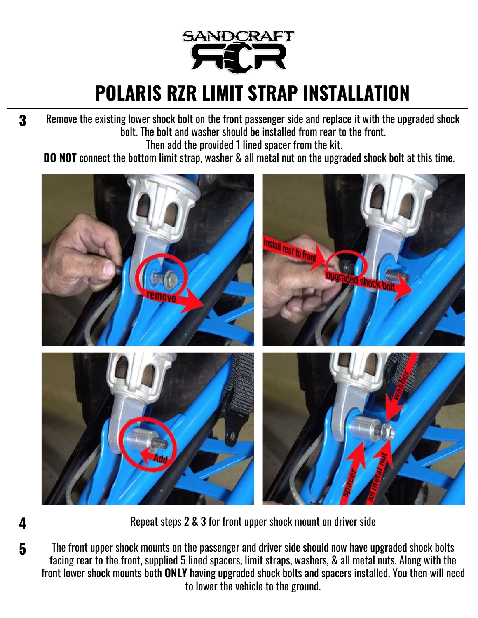

**3** Remove the existing lower shock bolt on the front passenger side and replace it with the upgraded shock bolt. The bolt and washer should be installed from rear to the front. Then add the provided 1 lined spacer from the kit.

**DO NOT** connect the bottom limit strap, washer & all metal nut on the upgraded shock bolt at this time.



**4** Repeat steps 2 & 3 for front upper shock mount on driver side

**5** The front upper shock mounts on the passenger and driver side should now have upgraded shock bolts facing rear to the front, supplied 5 lined spacers, limit straps, washers, & all metal nuts. Along with the front lower shock mounts both **ONLY** having upgraded shock bolts and spacers installed. You then will need to lower the vehicle to the ground.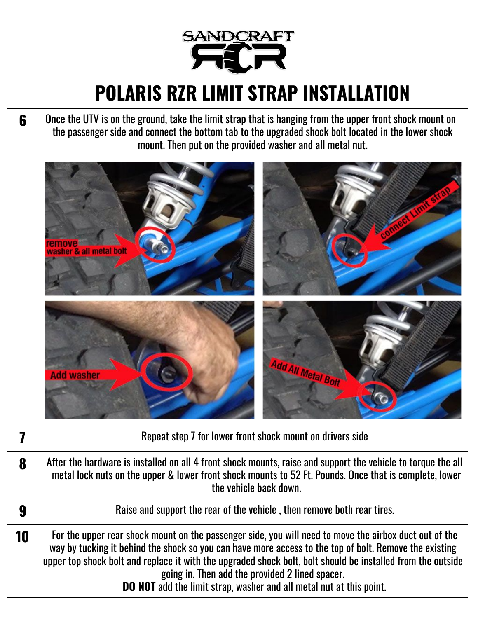

**6** Once the UTV is on the ground, take the limit strap that is hanging from the upper front shock mount on the passenger side and connect the bottom tab to the upgraded shock bolt located in the lower shock mount. Then put on the provided washer and all metal nut.



|    | Repeat step 7 for lower front shock mount on drivers side                                                                                                                                                                                                                                                                                                                                                                                                        |
|----|------------------------------------------------------------------------------------------------------------------------------------------------------------------------------------------------------------------------------------------------------------------------------------------------------------------------------------------------------------------------------------------------------------------------------------------------------------------|
| 8  | After the hardware is installed on all 4 front shock mounts, raise and support the vehicle to torque the all<br>metal lock nuts on the upper & lower front shock mounts to 52 Ft. Pounds. Once that is complete, lower<br>the vehicle back down.                                                                                                                                                                                                                 |
|    | Raise and support the rear of the vehicle, then remove both rear tires.                                                                                                                                                                                                                                                                                                                                                                                          |
| 10 | For the upper rear shock mount on the passenger side, you will need to move the airbox duct out of the<br>way by tucking it behind the shock so you can have more access to the top of bolt. Remove the existing<br>upper top shock bolt and replace it with the upgraded shock bolt, bolt should be installed from the outside<br>going in. Then add the provided 2 lined spacer.<br><b>DO NOT</b> add the limit strap, washer and all metal nut at this point. |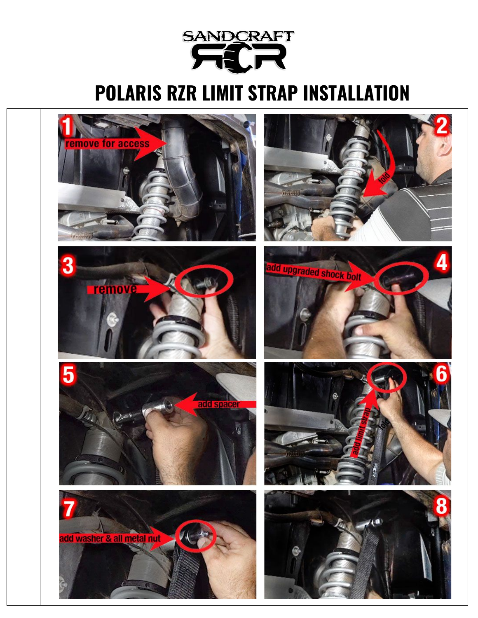

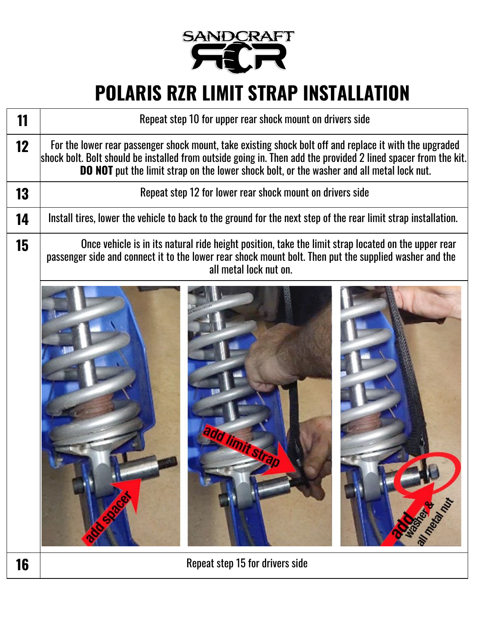

| 11 | Repeat step 10 for upper rear shock mount on drivers side                                                                                                                                                                                                                                                                     |
|----|-------------------------------------------------------------------------------------------------------------------------------------------------------------------------------------------------------------------------------------------------------------------------------------------------------------------------------|
| 12 | For the lower rear passenger shock mount, take existing shock bolt off and replace it with the upgraded<br>shock bolt. Bolt should be installed from outside going in. Then add the provided 2 lined spacer from the kit.<br><b>DO NOT</b> put the limit strap on the lower shock bolt, or the washer and all metal lock nut. |
| 13 | Repeat step 12 for lower rear shock mount on drivers side                                                                                                                                                                                                                                                                     |
| 14 | Install tires, lower the vehicle to back to the ground for the next step of the rear limit strap installation.                                                                                                                                                                                                                |
| 15 | Once vehicle is in its natural ride height position, take the limit strap located on the upper rear<br>passenger side and connect it to the lower rear shock mount bolt. Then put the supplied washer and the<br>all metal lock nut on.                                                                                       |
|    | M Topicality                                                                                                                                                                                                                                                                                                                  |

**16** Repeat step 15 for drivers side